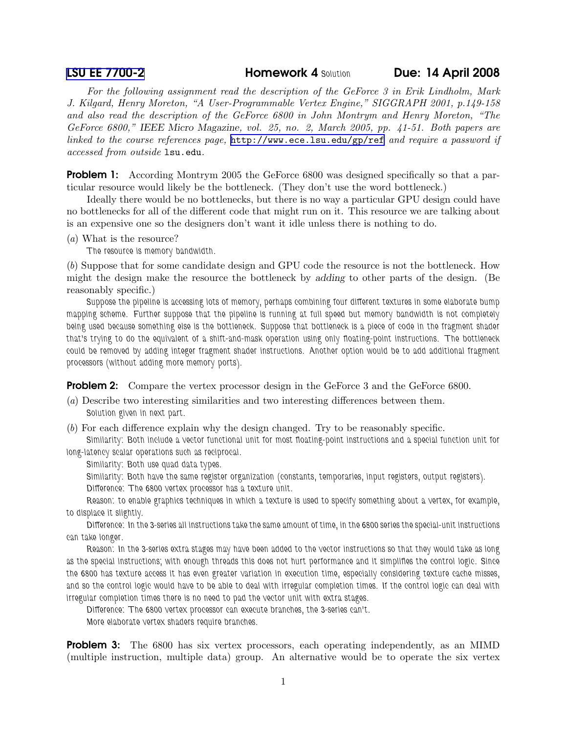**[LSU EE 7700-2](http://www.ece.lsu.edu/gp/) Homework 4 Solution Due: 14 April 2008** 

For the following assignment read the description of the GeForce 3 in Erik Lindholm, Mark J. Kilgard, Henry Moreton, "A User-Programmable Vertex Engine," SIGGRAPH 2001, p.149-158 and also read the description of the GeForce 6800 in John Montrym and Henry Moreton, "The GeForce 6800," IEEE Micro Magazine, vol. 25, no. 2, March 2005, pp. 41-51. Both papers are linked to the course references page, <http://www.ece.lsu.edu/gp/ref> and require a password if accessed from outside lsu.edu.

**Problem 1:** According Montrym 2005 the GeForce 6800 was designed specifically so that a particular resource would likely be the bottleneck. (They don't use the word bottleneck.)

Ideally there would be no bottlenecks, but there is no way a particular GPU design could have no bottlenecks for all of the different code that might run on it. This resource we are talking about is an expensive one so the designers don't want it idle unless there is nothing to do.

(a) What is the resource?

The resource is memory bandwidth.

(b) Suppose that for some candidate design and GPU code the resource is not the bottleneck. How might the design make the resource the bottleneck by adding to other parts of the design. (Be reasonably specific.)

Suppose the pipeline is accessing lots of memory, perhaps combining four different textures in some elaborate bump mapping scheme. Further suppose that the pipeline is running at full speed but memory bandwidth is not completely being used because something else is the bottleneck. Suppose that bottleneck is a piece of code in the fragment shader that's trying to do the equivalent of a shift-and-mask operation using only floating-point instructions. The bottleneck could be removed by adding integer fragment shader instructions. Another option would be to add additional fragment processors (without adding more memory ports).

**Problem 2:** Compare the vertex processor design in the GeForce 3 and the GeForce 6800.

(a) Describe two interesting similarities and two interesting differences between them. Solution given in next part.

(b) For each difference explain why the design changed. Try to be reasonably specific.

Similarity: Both include a vector functional unit for most floating-point instructions and a special function unit for long-latency scalar operations such as reciprocal.

Similarity: Both use quad data types.

Similarity: Both have the same register organization (constants, temporaries, input registers, output registers).

Difference: The 6800 vertex processor has a texture unit.

Reason: to enable graphics techniques in which a texture is used to specify something about a vertex, for example, to displace it slightly.

Difference: In the 3-series all instructions take the same amount of time, in the 6800 series the special-unit instructions can take longer.

Reason: In the 3-series extra stages may have been added to the vector instructions so that they would take as long as the special instructions; with enough threads this does not hurt performance and it simplifies the control logic. Since the 6800 has texture access it has even greater variation in execution time, especially considering texture cache misses, and so the control logic would have to be able to deal with irregular completion times. If the control logic can deal with irregular completion times there is no need to pad the vector unit with extra stages.

Difference: The 6800 vertex processor can execute branches, the 3-series can't.

More elaborate vertex shaders require branches.

**Problem 3:** The 6800 has six vertex processors, each operating independently, as an MIMD (multiple instruction, multiple data) group. An alternative would be to operate the six vertex